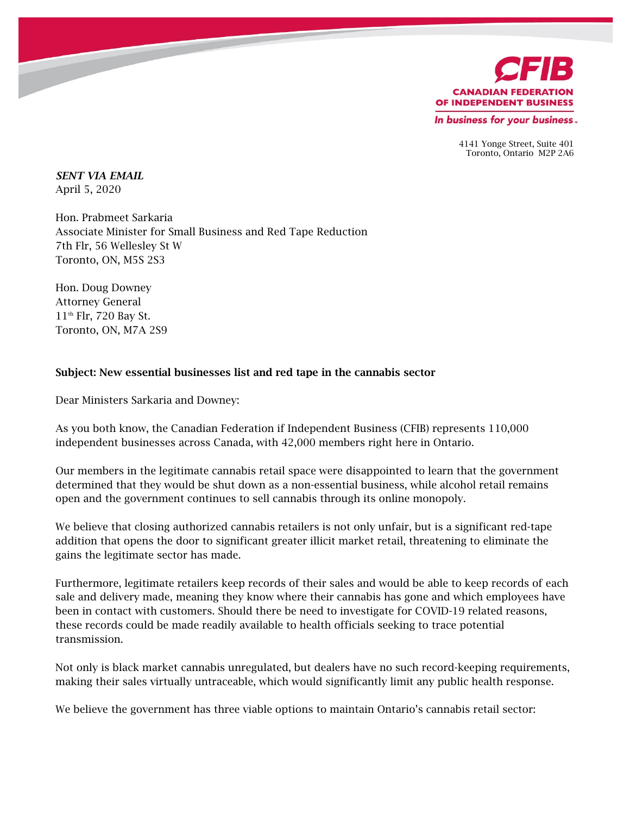

4141 Yonge Street, Suite 401 Toronto, Ontario M2P 2A6

*SENT VIA EMAIL* April 5, 2020

Hon. Prabmeet Sarkaria Associate Minister for Small Business and Red Tape Reduction 7th Flr, 56 Wellesley St W Toronto, ON, M5S 2S3

Hon. Doug Downey Attorney General 11th Flr, 720 Bay St. Toronto, ON, M7A 2S9

## Subject: New essential businesses list and red tape in the cannabis sector

Dear Ministers Sarkaria and Downey:

As you both know, the Canadian Federation if Independent Business (CFIB) represents 110,000 independent businesses across Canada, with 42,000 members right here in Ontario.

Our members in the legitimate cannabis retail space were disappointed to learn that the government determined that they would be shut down as a non-essential business, while alcohol retail remains open and the government continues to sell cannabis through its online monopoly.

We believe that closing authorized cannabis retailers is not only unfair, but is a significant red-tape addition that opens the door to significant greater illicit market retail, threatening to eliminate the gains the legitimate sector has made.

Furthermore, legitimate retailers keep records of their sales and would be able to keep records of each sale and delivery made, meaning they know where their cannabis has gone and which employees have been in contact with customers. Should there be need to investigate for COVID-19 related reasons, these records could be made readily available to health officials seeking to trace potential transmission.

Not only is black market cannabis unregulated, but dealers have no such record-keeping requirements, making their sales virtually untraceable, which would significantly limit any public health response.

We believe the government has three viable options to maintain Ontario's cannabis retail sector: